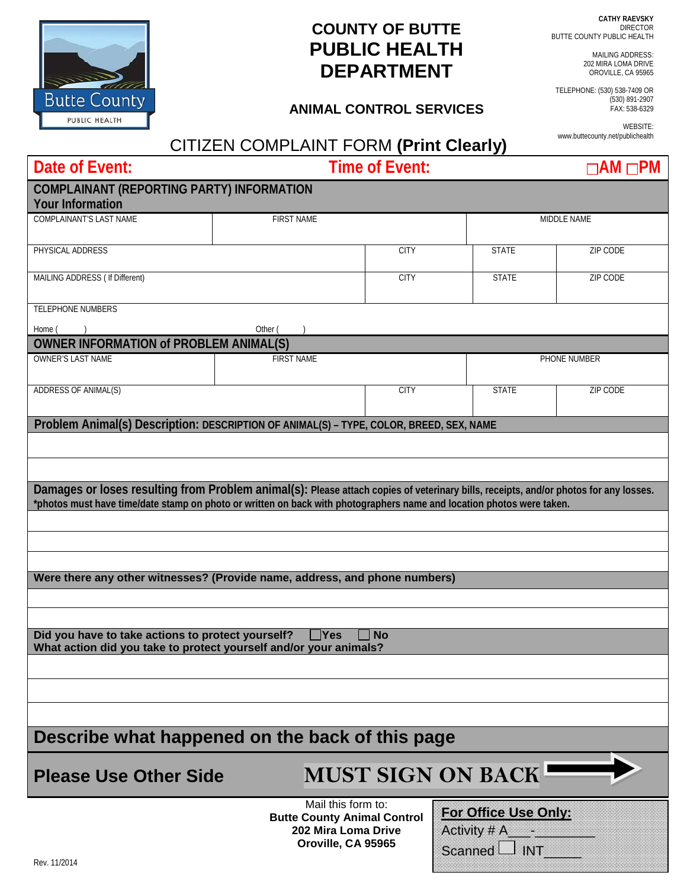**CATHY RAEVSKY DIRECTOR** BUTTE COUNTY PUBLIC HEALTH

MAILING ADDRESS: 202 MIRA LOMA DRIVE OROVILLE, CA 95965

TELEPHONE: (530) 538-7409 OR (530) 891-2907 FAX: 538-6329

> WEBSITE: www.buttecounty.net/publichealth

## **COUNTY OF BUTTE PUBLIC HEALTH DEPARTMENT**

## **ANIMAL CONTROL SERVICES**

## CITIZEN COMPLAINT FORM **(Print Clearly)**

| Date of Event:                                                                                                                                                                                                                                                | <b>Time of Event:</b>                                                           |                           |                                                       | $\Box$ AM $\Box$ PM |  |
|---------------------------------------------------------------------------------------------------------------------------------------------------------------------------------------------------------------------------------------------------------------|---------------------------------------------------------------------------------|---------------------------|-------------------------------------------------------|---------------------|--|
| <b>COMPLAINANT (REPORTING PARTY) INFORMATION</b>                                                                                                                                                                                                              |                                                                                 |                           |                                                       |                     |  |
| <b>Your Information</b>                                                                                                                                                                                                                                       |                                                                                 |                           |                                                       |                     |  |
| <b>COMPLAINANT'S LAST NAME</b>                                                                                                                                                                                                                                | <b>FIRST NAME</b>                                                               |                           |                                                       | MIDDLE NAME         |  |
| PHYSICAL ADDRESS                                                                                                                                                                                                                                              |                                                                                 | <b>CITY</b>               | <b>STATE</b>                                          | ZIP CODE            |  |
| MAILING ADDRESS ( If Different)                                                                                                                                                                                                                               |                                                                                 | <b>CITY</b>               | <b>STATE</b>                                          | <b>ZIP CODE</b>     |  |
| <b>TELEPHONE NUMBERS</b>                                                                                                                                                                                                                                      |                                                                                 |                           |                                                       |                     |  |
| Home (                                                                                                                                                                                                                                                        | Other (                                                                         |                           |                                                       |                     |  |
| <b>OWNER INFORMATION of PROBLEM ANIMAL(S)</b>                                                                                                                                                                                                                 |                                                                                 |                           |                                                       |                     |  |
| <b>OWNER'S LAST NAME</b>                                                                                                                                                                                                                                      | <b>FIRST NAME</b>                                                               |                           |                                                       | PHONE NUMBER        |  |
| ADDRESS OF ANIMAL(S)                                                                                                                                                                                                                                          |                                                                                 | <b>CITY</b>               | <b>STATE</b>                                          | ZIP CODE            |  |
| Problem Animal(s) Description: DESCRIPTION OF ANIMAL(S) - TYPE, COLOR, BREED, SEX, NAME                                                                                                                                                                       |                                                                                 |                           |                                                       |                     |  |
|                                                                                                                                                                                                                                                               |                                                                                 |                           |                                                       |                     |  |
|                                                                                                                                                                                                                                                               |                                                                                 |                           |                                                       |                     |  |
| Damages or loses resulting from Problem animal(s): Please attach copies of veterinary bills, receipts, and/or photos for any losses.<br>*photos must have time/date stamp on photo or written on back with photographers name and location photos were taken. |                                                                                 |                           |                                                       |                     |  |
|                                                                                                                                                                                                                                                               |                                                                                 |                           |                                                       |                     |  |
|                                                                                                                                                                                                                                                               |                                                                                 |                           |                                                       |                     |  |
| Were there any other witnesses? (Provide name, address, and phone numbers)                                                                                                                                                                                    |                                                                                 |                           |                                                       |                     |  |
|                                                                                                                                                                                                                                                               |                                                                                 |                           |                                                       |                     |  |
|                                                                                                                                                                                                                                                               |                                                                                 |                           |                                                       |                     |  |
| Did you have to take actions to protect yourself?<br>What action did you take to protect yourself and/or your animals?                                                                                                                                        | $\Box$ Yes                                                                      | <b>No</b>                 |                                                       |                     |  |
|                                                                                                                                                                                                                                                               |                                                                                 |                           |                                                       |                     |  |
|                                                                                                                                                                                                                                                               |                                                                                 |                           |                                                       |                     |  |
|                                                                                                                                                                                                                                                               |                                                                                 |                           |                                                       |                     |  |
| Describe what happened on the back of this page                                                                                                                                                                                                               |                                                                                 |                           |                                                       |                     |  |
| <b>Please Use Other Side</b>                                                                                                                                                                                                                                  |                                                                                 | <b>MUST SIGN ON BACK-</b> |                                                       |                     |  |
|                                                                                                                                                                                                                                                               | Mail this form to:<br><b>Butte County Animal Control</b><br>202 Mira Loma Drive |                           | For Office Use Only:<br>Activity # A <sub>_____</sub> |                     |  |

**Oroville, CA 95965**

Scanned  $\Box$  INT